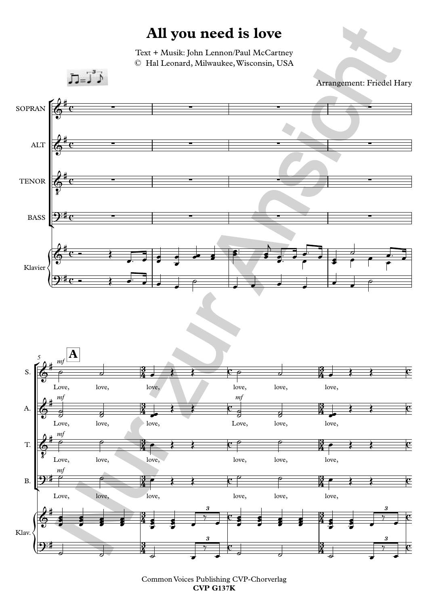## **All you need is love**

Text + Musik: John Lennon/Paul McCartney © Hal Leonard, Milwaukee,Wisconsin, USA







Common Voices Publishing CVP-Chorverlag **CVP G137K**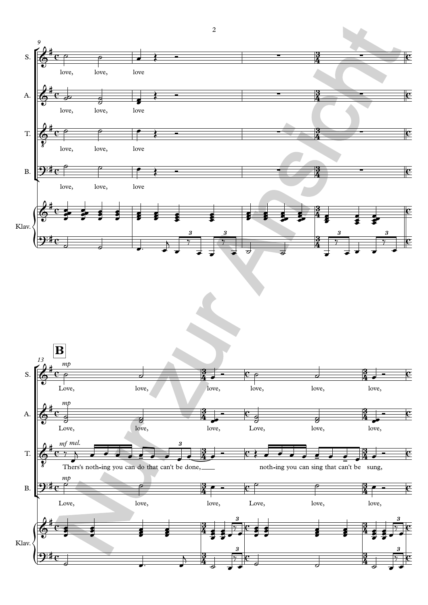

2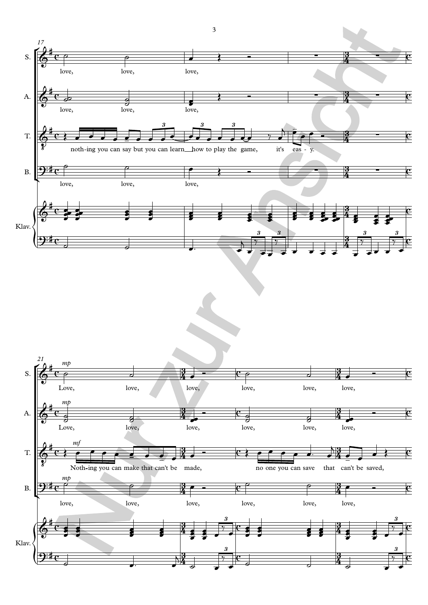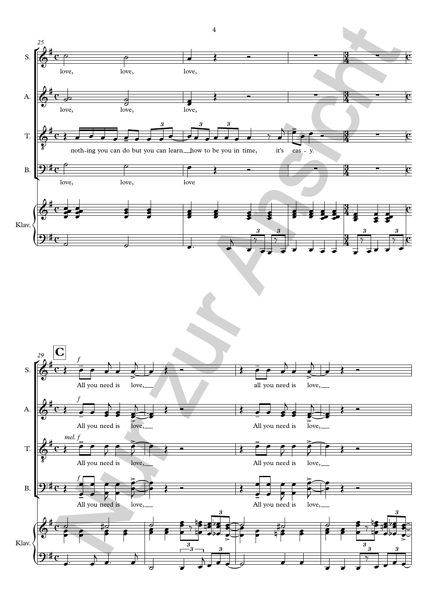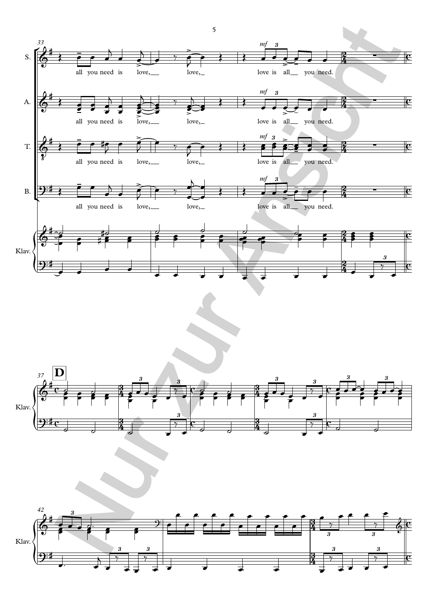

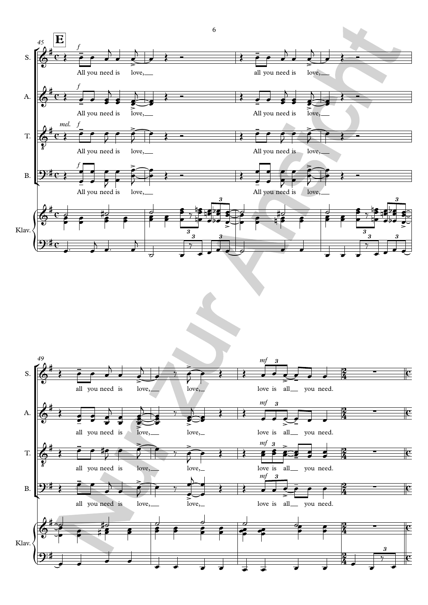



6